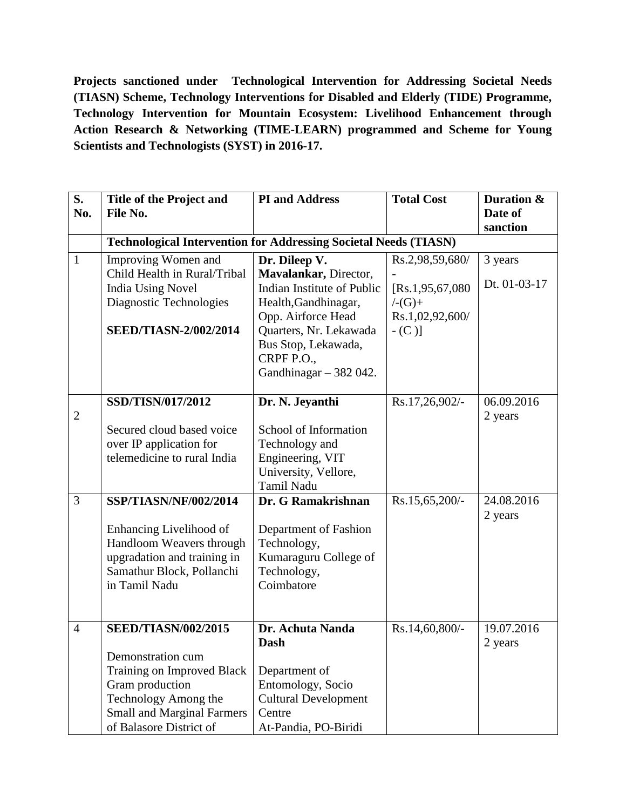**Projects sanctioned under Technological Intervention for Addressing Societal Needs (TIASN) Scheme, Technology Interventions for Disabled and Elderly (TIDE) Programme, Technology Intervention for Mountain Ecosystem: Livelihood Enhancement through Action Research & Networking (TIME-LEARN) programmed and Scheme for Young Scientists and Technologists (SYST) in 2016-17.**

| S.<br>No.      | <b>Title of the Project and</b><br>File No.                                                                                                                                              | <b>PI</b> and Address                                                                                                                                                                                        | <b>Total Cost</b>                                                                 | Duration &<br>Date of   |
|----------------|------------------------------------------------------------------------------------------------------------------------------------------------------------------------------------------|--------------------------------------------------------------------------------------------------------------------------------------------------------------------------------------------------------------|-----------------------------------------------------------------------------------|-------------------------|
|                |                                                                                                                                                                                          |                                                                                                                                                                                                              |                                                                                   | sanction                |
|                | <b>Technological Intervention for Addressing Societal Needs (TIASN)</b>                                                                                                                  |                                                                                                                                                                                                              |                                                                                   |                         |
| $\mathbf{1}$   | Improving Women and<br>Child Health in Rural/Tribal<br>India Using Novel<br>Diagnostic Technologies<br><b>SEED/TIASN-2/002/2014</b>                                                      | Dr. Dileep V.<br>Mavalankar, Director,<br>Indian Institute of Public<br>Health, Gandhinagar,<br>Opp. Airforce Head<br>Quarters, Nr. Lekawada<br>Bus Stop, Lekawada,<br>CRPF P.O.,<br>Gandhinagar $-382042$ . | Rs.2,98,59,680/<br>[Rs.1, 95, 67, 080]<br>$/-(G)+$<br>Rs.1,02,92,600/<br>$-$ (C)] | 3 years<br>Dt. 01-03-17 |
| $\overline{2}$ | SSD/TISN/017/2012<br>Secured cloud based voice<br>over IP application for<br>telemedicine to rural India                                                                                 | Dr. N. Jeyanthi<br>School of Information<br>Technology and<br>Engineering, VIT<br>University, Vellore,<br><b>Tamil Nadu</b>                                                                                  | Rs.17,26,902/-                                                                    | 06.09.2016<br>2 years   |
| 3              | SSP/TIASN/NF/002/2014<br>Enhancing Livelihood of<br>Handloom Weavers through<br>upgradation and training in<br>Samathur Block, Pollanchi<br>in Tamil Nadu                                | Dr. G Ramakrishnan<br>Department of Fashion<br>Technology,<br>Kumaraguru College of<br>Technology,<br>Coimbatore                                                                                             | Rs.15,65,200/-                                                                    | 24.08.2016<br>2 years   |
| $\overline{4}$ | <b>SEED/TIASN/002/2015</b><br>Demonstration cum<br>Training on Improved Black<br>Gram production<br>Technology Among the<br><b>Small and Marginal Farmers</b><br>of Balasore District of | Dr. Achuta Nanda<br><b>Dash</b><br>Department of<br>Entomology, Socio<br><b>Cultural Development</b><br>Centre<br>At-Pandia, PO-Biridi                                                                       | Rs.14,60,800/-                                                                    | 19.07.2016<br>2 years   |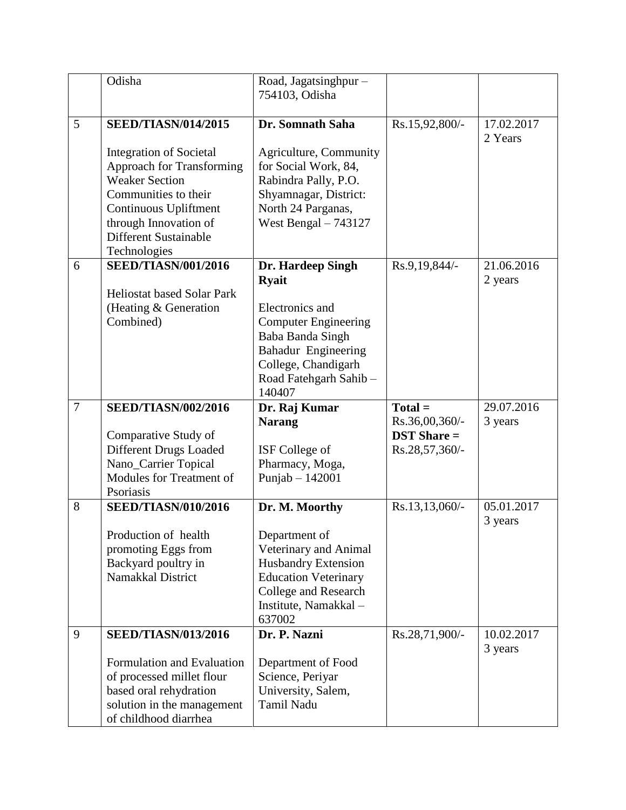|                | Odisha                                                                                                                                                                                                                                              | Road, Jagatsinghpur -<br>754103, Odisha                                                                                                                                                  |                                                                |                       |
|----------------|-----------------------------------------------------------------------------------------------------------------------------------------------------------------------------------------------------------------------------------------------------|------------------------------------------------------------------------------------------------------------------------------------------------------------------------------------------|----------------------------------------------------------------|-----------------------|
| 5              | <b>SEED/TIASN/014/2015</b><br><b>Integration of Societal</b><br><b>Approach for Transforming</b><br><b>Weaker Section</b><br>Communities to their<br>Continuous Upliftment<br>through Innovation of<br><b>Different Sustainable</b><br>Technologies | Dr. Somnath Saha<br>Agriculture, Community<br>for Social Work, 84,<br>Rabindra Pally, P.O.<br>Shyamnagar, District:<br>North 24 Parganas,<br>West Bengal $-743127$                       | Rs.15,92,800/-                                                 | 17.02.2017<br>2 Years |
| 6              | <b>SEED/TIASN/001/2016</b><br><b>Heliostat based Solar Park</b><br>(Heating & Generation<br>Combined)                                                                                                                                               | Dr. Hardeep Singh<br><b>Ryait</b><br>Electronics and<br><b>Computer Engineering</b><br>Baba Banda Singh<br>Bahadur Engineering<br>College, Chandigarh<br>Road Fatehgarh Sahib-<br>140407 | Rs.9,19,844/-                                                  | 21.06.2016<br>2 years |
|                |                                                                                                                                                                                                                                                     |                                                                                                                                                                                          |                                                                |                       |
| $\overline{7}$ | <b>SEED/TIASN/002/2016</b><br>Comparative Study of<br>Different Drugs Loaded<br>Nano_Carrier Topical<br>Modules for Treatment of<br>Psoriasis                                                                                                       | Dr. Raj Kumar<br><b>Narang</b><br>ISF College of<br>Pharmacy, Moga,<br>Punjab $-142001$                                                                                                  | $Total =$<br>Rs.36,00,360/-<br>$DST$ Share =<br>Rs.28,57,360/- | 29.07.2016<br>3 years |
| 8              | <b>SEED/TIASN/010/2016</b><br>Production of health<br>promoting Eggs from<br>Backyard poultry in<br>Namakkal District                                                                                                                               | Dr. M. Moorthy<br>Department of<br>Veterinary and Animal<br><b>Husbandry Extension</b><br><b>Education Veterinary</b><br>College and Research<br>Institute, Namakkal -<br>637002         | Rs.13,13,060/-                                                 | 05.01.2017<br>3 years |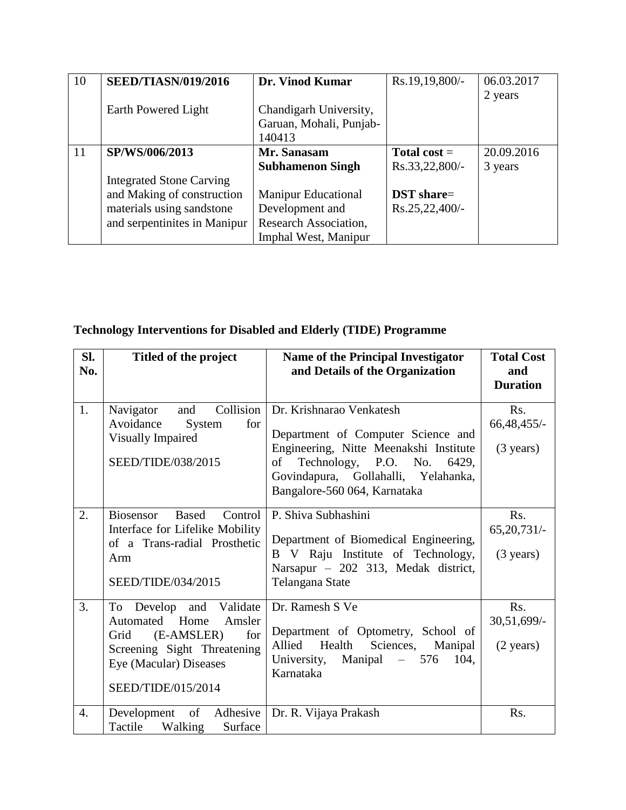| 10 | <b>SEED/TIASN/019/2016</b>      | Dr. Vinod Kumar            | Rs.19,19,800/-    | 06.03.2017 |
|----|---------------------------------|----------------------------|-------------------|------------|
|    |                                 |                            |                   | 2 years    |
|    | Earth Powered Light             | Chandigarh University,     |                   |            |
|    |                                 | Garuan, Mohali, Punjab-    |                   |            |
|    |                                 | 140413                     |                   |            |
| 11 | SP/WS/006/2013                  | Mr. Sanasam                | Total cost $=$    | 20.09.2016 |
|    |                                 | <b>Subhamenon Singh</b>    | Rs.33,22,800/-    | 3 years    |
|    | <b>Integrated Stone Carving</b> |                            |                   |            |
|    | and Making of construction      | <b>Manipur Educational</b> | <b>DST</b> share= |            |
|    | materials using sandstone       | Development and            | $Rs.25,22,400/-$  |            |
|    | and serpentinites in Manipur    | Research Association,      |                   |            |
|    |                                 | Imphal West, Manipur       |                   |            |

## **Technology Interventions for Disabled and Elderly (TIDE) Programme**

| Sl.<br>No.       | Titled of the project                                                                                                                                              | <b>Name of the Principal Investigator</b><br>and Details of the Organization                                                                                                                                           | <b>Total Cost</b><br>and<br><b>Duration</b>           |
|------------------|--------------------------------------------------------------------------------------------------------------------------------------------------------------------|------------------------------------------------------------------------------------------------------------------------------------------------------------------------------------------------------------------------|-------------------------------------------------------|
| 1.               | Collision<br>and<br>Navigator<br>Avoidance<br>for<br>System<br><b>Visually Impaired</b><br>SEED/TIDE/038/2015                                                      | Dr. Krishnarao Venkatesh<br>Department of Computer Science and<br>Engineering, Nitte Meenakshi Institute<br>Technology, P.O. No.<br>of<br>6429,<br>Govindapura, Gollahalli, Yelahanka,<br>Bangalore-560 064, Karnataka | Rs.<br>66,48,455/-<br>$(3 \text{ years})$             |
| 2.               | <b>Biosensor</b><br><b>Based</b><br>Control<br>Interface for Lifelike Mobility<br>of a Trans-radial Prosthetic<br>Arm<br>SEED/TIDE/034/2015                        | P. Shiva Subhashini<br>Department of Biomedical Engineering,<br>B V Raju Institute of Technology,<br>Narsapur - 202 313, Medak district,<br>Telangana State                                                            | R <sub>s</sub> .<br>65,20,731/<br>$(3 \text{ years})$ |
| 3.               | and Validate<br>To Develop<br>Automated Home<br>Amsler<br>(E-AMSLER)<br>Grid<br>for<br>Screening Sight Threatening<br>Eye (Macular) Diseases<br>SEED/TIDE/015/2014 | Dr. Ramesh S Ve<br>Department of Optometry, School of<br>Health<br>Sciences,<br>Allied<br>Manipal<br>University,<br>Manipal<br>576<br>104.<br>$\equiv$<br>Karnataka                                                    | Rs.<br>30,51,699/-<br>$(2 \text{ years})$             |
| $\overline{4}$ . | Development of Adhesive<br>Tactile Walking<br>Surface                                                                                                              | Dr. R. Vijaya Prakash                                                                                                                                                                                                  | Rs.                                                   |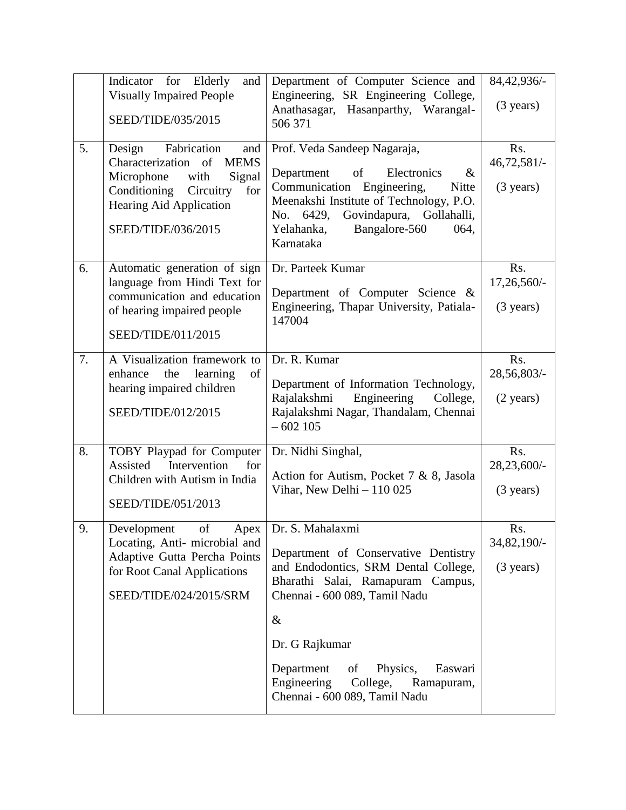|    | Indicator for Elderly<br>and<br><b>Visually Impaired People</b><br>SEED/TIDE/035/2015                                                                                                | Department of Computer Science and<br>Engineering, SR Engineering College,<br>Anathasagar, Hasanparthy, Warangal-<br>506 371                                                                                                                                                                                                 | 84,42,936/-<br>$(3 \text{ years})$        |
|----|--------------------------------------------------------------------------------------------------------------------------------------------------------------------------------------|------------------------------------------------------------------------------------------------------------------------------------------------------------------------------------------------------------------------------------------------------------------------------------------------------------------------------|-------------------------------------------|
| 5. | Design<br>Fabrication<br>and<br>Characterization of<br><b>MEMS</b><br>Microphone<br>with<br>Signal<br>Conditioning Circuitry<br>for<br>Hearing Aid Application<br>SEED/TIDE/036/2015 | Prof. Veda Sandeep Nagaraja,<br>of<br>$\&$<br>Electronics<br>Department<br>Communication Engineering,<br>Nitte<br>Meenakshi Institute of Technology, P.O.<br>Govindapura, Gollahalli,<br>No. 6429,<br>Bangalore-560<br>Yelahanka,<br>064,<br>Karnataka                                                                       | Rs.<br>46,72,581/-<br>$(3 \text{ years})$ |
| 6. | Automatic generation of sign<br>language from Hindi Text for<br>communication and education<br>of hearing impaired people<br>SEED/TIDE/011/2015                                      | Dr. Parteek Kumar<br>Department of Computer Science &<br>Engineering, Thapar University, Patiala-<br>147004                                                                                                                                                                                                                  | Rs.<br>17,26,560/-<br>$(3 \text{ years})$ |
| 7. | A Visualization framework to<br>enhance<br>the<br>learning<br>of<br>hearing impaired children<br>SEED/TIDE/012/2015                                                                  | Dr. R. Kumar<br>Department of Information Technology,<br>Engineering<br>Rajalakshmi<br>College,<br>Rajalakshmi Nagar, Thandalam, Chennai<br>$-602105$                                                                                                                                                                        | Rs.<br>28,56,803/-<br>$(2 \text{ years})$ |
| 8. | TOBY Playpad for Computer<br>Assisted<br>Intervention<br>for<br>Children with Autism in India<br>SEED/TIDE/051/2013                                                                  | Dr. Nidhi Singhal,<br>Action for Autism, Pocket 7 & 8, Jasola<br>Vihar, New Delhi $-110025$                                                                                                                                                                                                                                  | Rs.<br>28,23,600/-<br>$(3 \text{ years})$ |
| 9. | of<br>Development<br>Locating, Anti-microbial and<br>Adaptive Gutta Percha Points<br>for Root Canal Applications<br>SEED/TIDE/024/2015/SRM                                           | Apex   Dr. S. Mahalaxmi<br>Department of Conservative Dentistry<br>and Endodontics, SRM Dental College,<br>Bharathi Salai, Ramapuram Campus,<br>Chennai - 600 089, Tamil Nadu<br>$\&$<br>Dr. G Rajkumar<br>Physics,<br>Department<br>Easwari<br>of<br>Engineering<br>College,<br>Ramapuram,<br>Chennai - 600 089, Tamil Nadu | Rs.<br>34,82,190/-<br>$(3 \text{ years})$ |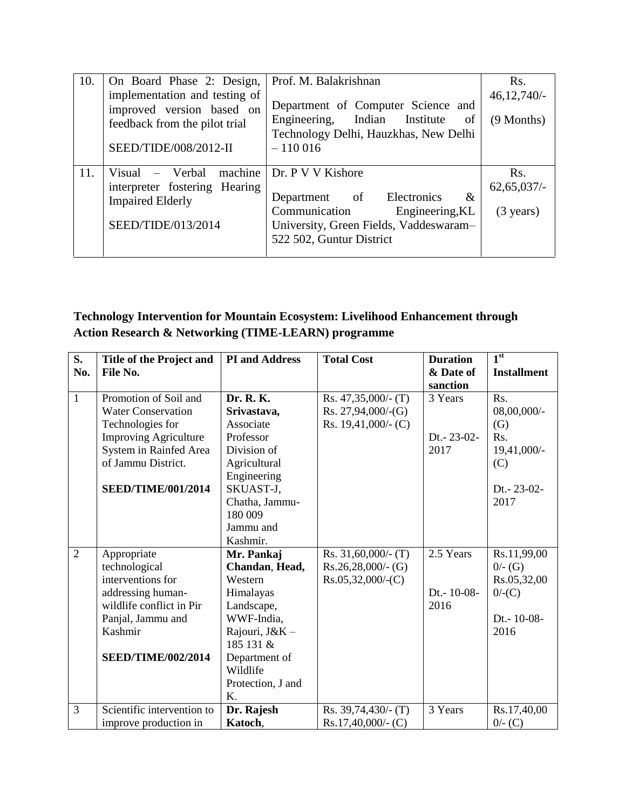| 10. | On Board Phase 2: Design,                                                                                            | Prof. M. Balakrishnan                                                                                                                                                  | R <sub>s</sub> .                                          |
|-----|----------------------------------------------------------------------------------------------------------------------|------------------------------------------------------------------------------------------------------------------------------------------------------------------------|-----------------------------------------------------------|
|     | implementation and testing of<br>improved version based on<br>feedback from the pilot trial<br>SEED/TIDE/008/2012-II | Department of Computer Science and<br>Engineering, Indian Institute<br>of<br>Technology Delhi, Hauzkhas, New Delhi<br>$-110016$                                        | 46,12,740/<br>(9 Months)                                  |
| 11. | machine<br>Visual – Verbal<br>interpreter fostering Hearing<br><b>Impaired Elderly</b><br>SEED/TIDE/013/2014         | Dr. P V V Kishore<br>Electronics<br>of<br>$\&$<br>Department<br>Communication<br>Engineering, KL<br>University, Green Fields, Vaddeswaram-<br>522 502, Guntur District | R <sub>s</sub> .<br>$62,65,037/$ -<br>$(3 \text{ years})$ |

## **Technology Intervention for Mountain Ecosystem: Livelihood Enhancement through Action Research & Networking (TIME-LEARN) programme**

| S.             | Title of the Project and     | <b>PI</b> and Address | <b>Total Cost</b>      | <b>Duration</b> | 1 <sup>st</sup>    |
|----------------|------------------------------|-----------------------|------------------------|-----------------|--------------------|
| No.            | File No.                     |                       |                        | & Date of       | <b>Installment</b> |
|                |                              |                       |                        | sanction        |                    |
| $\mathbf{1}$   | Promotion of Soil and        | Dr. R. K.             | Rs. $47,35,000/$ - (T) | 3 Years         | Rs.                |
|                | <b>Water Conservation</b>    | Srivastava,           | $Rs. 27,94,000/-(G)$   |                 | 08,00,000/-        |
|                | Technologies for             | Associate             | Rs. $19,41,000/$ - (C) |                 | (G)                |
|                | <b>Improving Agriculture</b> | Professor             |                        | Dt. - 23-02-    | Rs.                |
|                | System in Rainfed Area       | Division of           |                        | 2017            | 19,41,000/-        |
|                | of Jammu District.           | Agricultural          |                        |                 | (C)                |
|                |                              | Engineering           |                        |                 |                    |
|                | <b>SEED/TIME/001/2014</b>    | SKUAST-J,             |                        |                 | Dt.-23-02-         |
|                |                              | Chatha, Jammu-        |                        |                 | 2017               |
|                |                              | 180 009               |                        |                 |                    |
|                |                              | Jammu and             |                        |                 |                    |
|                |                              | Kashmir.              |                        |                 |                    |
| $\overline{2}$ | Appropriate                  | Mr. Pankaj            | $Rs. 31,60,000/-(T)$   | 2.5 Years       | Rs.11,99,00        |
|                | technological                | Chandan, Head,        | $Rs.26,28,000/-(G)$    |                 | $0/- (G)$          |
|                | interventions for            | Western               | $Rs.05,32,000/-(C)$    |                 | Rs.05,32,00        |
|                | addressing human-            | Himalayas             |                        | Dt.-10-08-      | $0$ /-(C)          |
|                | wildlife conflict in Pir     | Landscape,            |                        | 2016            |                    |
|                | Panjal, Jammu and            | WWF-India,            |                        |                 | Dt. - $10-08$ -    |
|                | Kashmir                      | Rajouri, J&K -        |                        |                 | 2016               |
|                |                              | 185 131 &             |                        |                 |                    |
|                | <b>SEED/TIME/002/2014</b>    | Department of         |                        |                 |                    |
|                |                              | Wildlife              |                        |                 |                    |
|                |                              | Protection, J and     |                        |                 |                    |
|                |                              | K.                    |                        |                 |                    |
| 3              | Scientific intervention to   | Dr. Rajesh            | $Rs. 39,74,430/- (T)$  | 3 Years         | Rs.17,40,00        |
|                | improve production in        | Katoch,               | $Rs.17,40,000/-(C)$    |                 | $0/-$ (C)          |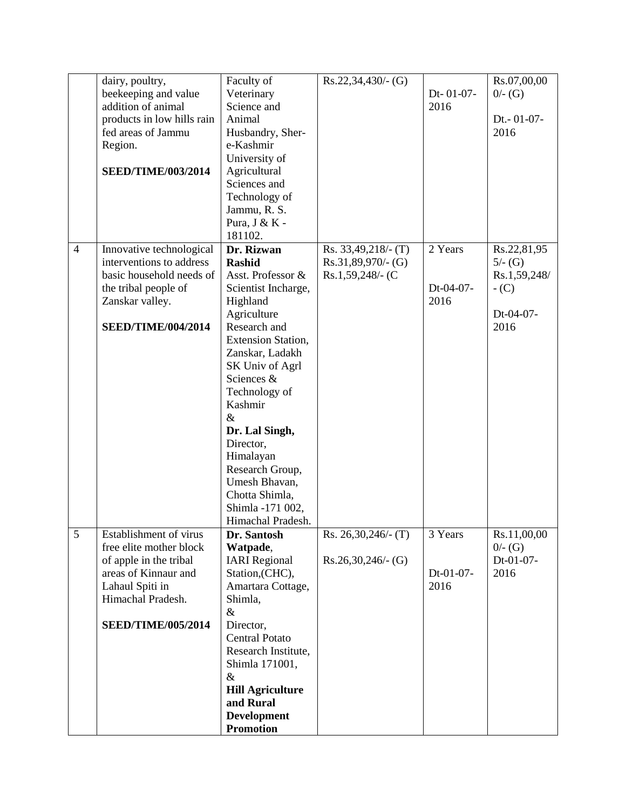|                | dairy, poultry,            | Faculty of                | $Rs.22,34,430/-(G)$   |           | Rs.07,00,00  |
|----------------|----------------------------|---------------------------|-----------------------|-----------|--------------|
|                | beekeeping and value       | Veterinary                |                       | Dt-01-07- | $0/- (G)$    |
|                | addition of animal         | Science and               |                       | 2016      |              |
|                | products in low hills rain | Animal                    |                       |           | Dt.- 01-07-  |
|                |                            |                           |                       |           | 2016         |
|                | fed areas of Jammu         | Husbandry, Sher-          |                       |           |              |
|                | Region.                    | e-Kashmir                 |                       |           |              |
|                |                            | University of             |                       |           |              |
|                | <b>SEED/TIME/003/2014</b>  | Agricultural              |                       |           |              |
|                |                            | Sciences and              |                       |           |              |
|                |                            | Technology of             |                       |           |              |
|                |                            | Jammu, R. S.              |                       |           |              |
|                |                            | Pura, J & K -             |                       |           |              |
|                |                            | 181102.                   |                       |           |              |
| $\overline{4}$ | Innovative technological   | Dr. Rizwan                | $Rs. 33,49,218/- (T)$ | 2 Years   | Rs.22,81,95  |
|                | interventions to address   | <b>Rashid</b>             | $Rs.31,89,970/-(G)$   |           | $5/- (G)$    |
|                | basic household needs of   | Asst. Professor &         | Rs.1,59,248/- (C      |           | Rs.1,59,248/ |
|                | the tribal people of       | Scientist Incharge,       |                       | Dt-04-07- | $-C$ )       |
|                | Zanskar valley.            | Highland                  |                       | 2016      |              |
|                |                            | Agriculture               |                       |           | Dt-04-07-    |
|                |                            | Research and              |                       |           | 2016         |
|                | <b>SEED/TIME/004/2014</b>  |                           |                       |           |              |
|                |                            | <b>Extension Station,</b> |                       |           |              |
|                |                            | Zanskar, Ladakh           |                       |           |              |
|                |                            | SK Univ of Agrl           |                       |           |              |
|                |                            | Sciences &                |                       |           |              |
|                |                            | Technology of             |                       |           |              |
|                |                            | Kashmir                   |                       |           |              |
|                |                            | $\&$                      |                       |           |              |
|                |                            | Dr. Lal Singh,            |                       |           |              |
|                |                            | Director,                 |                       |           |              |
|                |                            | Himalayan                 |                       |           |              |
|                |                            | Research Group,           |                       |           |              |
|                |                            | Umesh Bhavan,             |                       |           |              |
|                |                            | Chotta Shimla,            |                       |           |              |
|                |                            | Shimla -171 002,          |                       |           |              |
|                |                            | Himachal Pradesh.         |                       |           |              |
| 5              | Establishment of virus     |                           |                       |           |              |
|                |                            | Dr. Santosh               | Rs. $26,30,246$ (T)   | 3 Years   | Rs.11,00,00  |
|                | free elite mother block    | Watpade,                  |                       |           | $0/- (G)$    |
|                | of apple in the tribal     | <b>IARI</b> Regional      | $Rs.26,30,246/-(G)$   |           | Dt-01-07-    |
|                | areas of Kinnaur and       | Station, (CHC),           |                       | Dt-01-07- | 2016         |
|                | Lahaul Spiti in            | Amartara Cottage,         |                       | 2016      |              |
|                | Himachal Pradesh.          | Shimla,                   |                       |           |              |
|                |                            | $\&$                      |                       |           |              |
|                | <b>SEED/TIME/005/2014</b>  | Director,                 |                       |           |              |
|                |                            | <b>Central Potato</b>     |                       |           |              |
|                |                            | Research Institute,       |                       |           |              |
|                |                            | Shimla 171001,            |                       |           |              |
|                |                            | $\&$                      |                       |           |              |
|                |                            | <b>Hill Agriculture</b>   |                       |           |              |
|                |                            | and Rural                 |                       |           |              |
|                |                            | <b>Development</b>        |                       |           |              |
|                |                            | <b>Promotion</b>          |                       |           |              |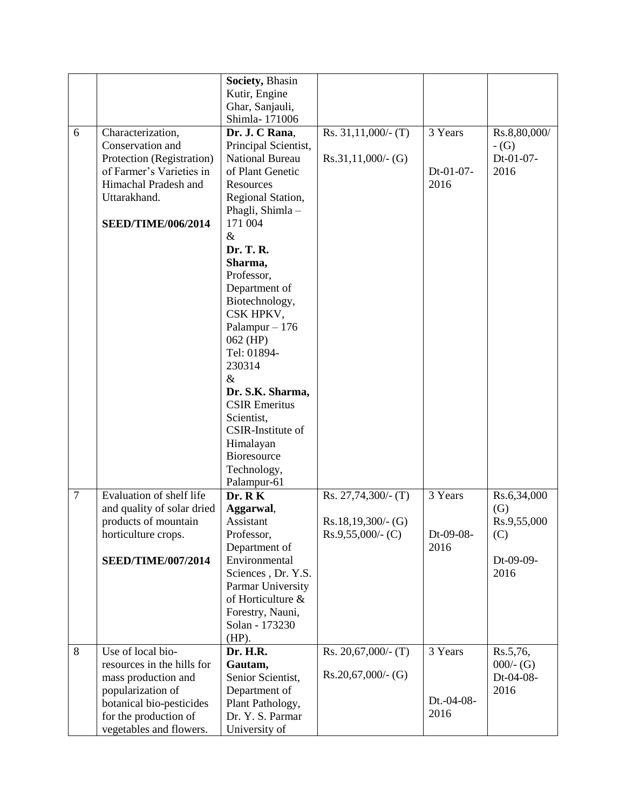|                |                            | Society, Bhasin        |                        |            |                   |
|----------------|----------------------------|------------------------|------------------------|------------|-------------------|
|                |                            | Kutir, Engine          |                        |            |                   |
|                |                            | Ghar, Sanjauli,        |                        |            |                   |
|                |                            | Shimla-171006          |                        |            |                   |
| 6              | Characterization,          | Dr. J. C Rana,         | Rs. $31,11,000/$ - (T) | 3 Years    | Rs.8,80,000/      |
|                | Conservation and           | Principal Scientist,   |                        |            | $-G$              |
|                | Protection (Registration)  | <b>National Bureau</b> | $Rs.31,11,000/-(G)$    |            | Dt-01-07-         |
|                | of Farmer's Varieties in   | of Plant Genetic       |                        | Dt-01-07-  | 2016              |
|                | Himachal Pradesh and       | Resources              |                        | 2016       |                   |
|                | Uttarakhand.               | Regional Station,      |                        |            |                   |
|                |                            | Phagli, Shimla-        |                        |            |                   |
|                | <b>SEED/TIME/006/2014</b>  | 171 004                |                        |            |                   |
|                |                            | $\&$                   |                        |            |                   |
|                |                            | Dr. T. R.              |                        |            |                   |
|                |                            | Sharma,                |                        |            |                   |
|                |                            | Professor,             |                        |            |                   |
|                |                            | Department of          |                        |            |                   |
|                |                            | Biotechnology,         |                        |            |                   |
|                |                            | CSK HPKV,              |                        |            |                   |
|                |                            | Palampur $-176$        |                        |            |                   |
|                |                            | 062 (HP)               |                        |            |                   |
|                |                            | Tel: 01894-            |                        |            |                   |
|                |                            | 230314                 |                        |            |                   |
|                |                            | $\&$                   |                        |            |                   |
|                |                            | Dr. S.K. Sharma,       |                        |            |                   |
|                |                            | <b>CSIR Emeritus</b>   |                        |            |                   |
|                |                            | Scientist,             |                        |            |                   |
|                |                            | CSIR-Institute of      |                        |            |                   |
|                |                            | Himalayan              |                        |            |                   |
|                |                            | Bioresource            |                        |            |                   |
|                |                            | Technology,            |                        |            |                   |
|                |                            | Palampur-61            |                        |            |                   |
| $\overline{7}$ | Evaluation of shelf life   | Dr. R K                | $Rs. 27,74,300/-(T)$   | 3 Years    | Rs.6,34,000       |
|                | and quality of solar dried | Aggarwal,              |                        |            | $\left( G\right)$ |
|                | products of mountain       | Assistant              | $Rs.18,19,300/-(G)$    |            | Rs.9,55,000       |
|                | horticulture crops.        | Professor,             | $Rs.9,55,000/$ - (C)   | Dt-09-08-  | (C)               |
|                |                            | Department of          |                        | 2016       |                   |
|                | <b>SEED/TIME/007/2014</b>  | Environmental          |                        |            | Dt-09-09-         |
|                |                            | Sciences, Dr. Y.S.     |                        |            | 2016              |
|                |                            | Parmar University      |                        |            |                   |
|                |                            | of Horticulture &      |                        |            |                   |
|                |                            | Forestry, Nauni,       |                        |            |                   |
|                |                            | Solan - 173230         |                        |            |                   |
|                |                            | $(HP)$ .               |                        |            |                   |
| 8              | Use of local bio-          | Dr. H.R.               | Rs. $20,67,000/$ - (T) | 3 Years    | Rs.5,76,          |
|                | resources in the hills for | Gautam,                |                        |            | $000/- (G)$       |
|                | mass production and        | Senior Scientist,      | $Rs.20,67,000/-(G)$    |            | Dt-04-08-         |
|                | popularization of          | Department of          |                        |            | 2016              |
|                | botanical bio-pesticides   | Plant Pathology,       |                        | Dt.-04-08- |                   |
|                | for the production of      | Dr. Y. S. Parmar       |                        | 2016       |                   |
|                | vegetables and flowers.    | University of          |                        |            |                   |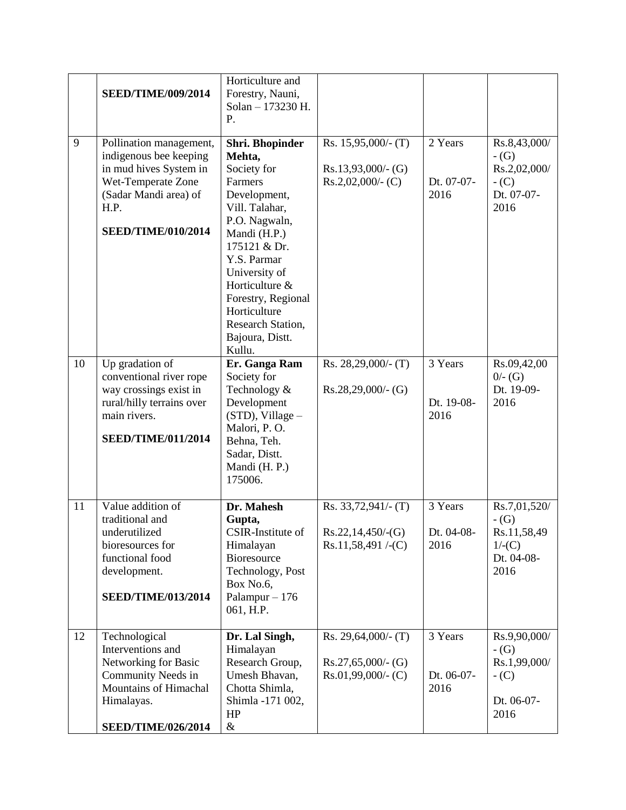|    | <b>SEED/TIME/009/2014</b>                                                                                                                                       | Horticulture and<br>Forestry, Nauni,<br>Solan - 173230 H.<br>P.                                                                                                                                                                                                                  |                                                                       |                               |                                                                       |
|----|-----------------------------------------------------------------------------------------------------------------------------------------------------------------|----------------------------------------------------------------------------------------------------------------------------------------------------------------------------------------------------------------------------------------------------------------------------------|-----------------------------------------------------------------------|-------------------------------|-----------------------------------------------------------------------|
| 9  | Pollination management,<br>indigenous bee keeping<br>in mud hives System in<br>Wet-Temperate Zone<br>(Sadar Mandi area) of<br>H.P.<br><b>SEED/TIME/010/2014</b> | Shri. Bhopinder<br>Mehta,<br>Society for<br>Farmers<br>Development,<br>Vill. Talahar,<br>P.O. Nagwaln,<br>Mandi (H.P.)<br>175121 & Dr.<br>Y.S. Parmar<br>University of<br>Horticulture &<br>Forestry, Regional<br>Horticulture<br>Research Station,<br>Bajoura, Distt.<br>Kullu. | Rs. $15,95,000/$ - (T)<br>$Rs.13,93,000/-(G)$<br>$Rs.2,02,000/$ - (C) | 2 Years<br>Dt. 07-07-<br>2016 | Rs.8,43,000/<br>$-G$<br>Rs.2,02,000/<br>$-C$ )<br>Dt. 07-07-<br>2016  |
| 10 | Up gradation of<br>conventional river rope<br>way crossings exist in<br>rural/hilly terrains over<br>main rivers.<br><b>SEED/TIME/011/2014</b>                  | Er. Ganga Ram<br>Society for<br>Technology &<br>Development<br>$(STD)$ , Village –<br>Malori, P.O.<br>Behna, Teh.<br>Sadar, Distt.<br>Mandi (H. P.)<br>175006.                                                                                                                   | Rs. $28,29,000/$ - (T)<br>$Rs.28,29,000/-(G)$                         | 3 Years<br>Dt. 19-08-<br>2016 | Rs.09,42,00<br>$0/- (G)$<br>Dt. 19-09-<br>2016                        |
| 11 | Value addition of<br>traditional and<br>underutilized<br>bioresources for<br>functional food<br>development.<br><b>SEED/TIME/013/2014</b>                       | Dr. Mahesh<br>Gupta,<br>CSIR-Institute of<br>Himalayan<br><b>Bioresource</b><br>Technology, Post<br>Box No.6,<br>Palampur $-176$<br>061, H.P.                                                                                                                                    | $Rs. 33,72,941/- (T)$<br>$RS.22, 14, 450/-(G)$<br>$Rs.11,58,491/-(C)$ | 3 Years<br>Dt. 04-08-<br>2016 | Rs.7,01,520/<br>$-G$ )<br>Rs.11,58,49<br>1/(C)<br>Dt. 04-08-<br>2016  |
| 12 | Technological<br>Interventions and<br>Networking for Basic<br>Community Needs in<br>Mountains of Himachal<br>Himalayas.<br><b>SEED/TIME/026/2014</b>            | Dr. Lal Singh,<br>Himalayan<br>Research Group,<br>Umesh Bhavan,<br>Chotta Shimla,<br>Shimla -171 002,<br>HP<br>$\&$                                                                                                                                                              | Rs. 29,64,000/- (T)<br>$Rs.27,65,000/·$ (G)<br>$Rs.01,99,000/-(C)$    | 3 Years<br>Dt. 06-07-<br>2016 | Rs.9,90,000/<br>$-G$<br>Rs.1,99,000/<br>$-$ (C)<br>Dt. 06-07-<br>2016 |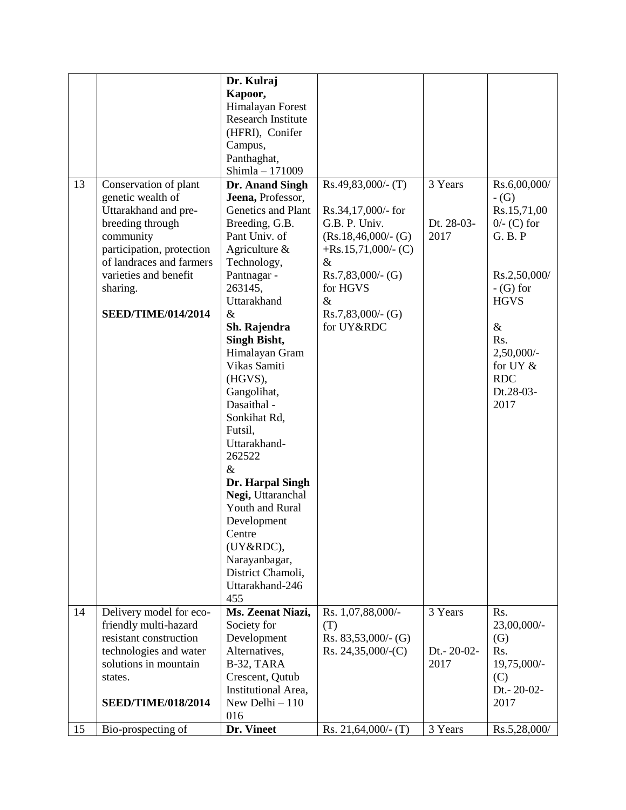|    |                           | Dr. Kulraj                |                        |            |                   |
|----|---------------------------|---------------------------|------------------------|------------|-------------------|
|    |                           | Kapoor,                   |                        |            |                   |
|    |                           | Himalayan Forest          |                        |            |                   |
|    |                           | <b>Research Institute</b> |                        |            |                   |
|    |                           | (HFRI), Conifer           |                        |            |                   |
|    |                           | Campus,                   |                        |            |                   |
|    |                           | Panthaghat,               |                        |            |                   |
|    |                           | Shimla - 171009           |                        |            |                   |
| 13 | Conservation of plant     | Dr. Anand Singh           | $Rs.49,83,000/-(T)$    | 3 Years    | Rs.6,00,000/      |
|    | genetic wealth of         | Jeena, Professor,         |                        |            | $-G$              |
|    | Uttarakhand and pre-      | Genetics and Plant        | Rs.34,17,000/- for     |            | Rs.15,71,00       |
|    | breeding through          | Breeding, G.B.            | G.B. P. Univ.          | Dt. 28-03- | $0$ /- (C) for    |
|    | community                 | Pant Univ. of             | $(Rs.18,46,000/-(G)$   | 2017       | G. B. P           |
|    | participation, protection | Agriculture $\&$          | $+$ Rs.15,71,000/- (C) |            |                   |
|    | of landraces and farmers  | Technology,               | $\&$                   |            |                   |
|    | varieties and benefit     | Pantnagar -               | $Rs.7,83,000/-(G)$     |            | Rs.2,50,000/      |
|    | sharing.                  | 263145,                   | for HGVS               |            | $-$ (G) for       |
|    |                           | Uttarakhand               | $\&$                   |            | <b>HGVS</b>       |
|    | <b>SEED/TIME/014/2014</b> | $\&$                      | $Rs.7,83,000/-(G)$     |            |                   |
|    |                           | Sh. Rajendra              | for UY&RDC             |            | $\&$              |
|    |                           | Singh Bisht,              |                        |            | Rs.               |
|    |                           | Himalayan Gram            |                        |            | $2,50,000/$ -     |
|    |                           | Vikas Samiti              |                        |            | for UY &          |
|    |                           | (HGVS),                   |                        |            | <b>RDC</b>        |
|    |                           | Gangolihat,               |                        |            | Dt.28-03-         |
|    |                           | Dasaithal -               |                        |            | 2017              |
|    |                           | Sonkihat Rd,              |                        |            |                   |
|    |                           | Futsil,                   |                        |            |                   |
|    |                           | Uttarakhand-              |                        |            |                   |
|    |                           | 262522                    |                        |            |                   |
|    |                           | $\&$                      |                        |            |                   |
|    |                           | Dr. Harpal Singh          |                        |            |                   |
|    |                           | Negi, Uttaranchal         |                        |            |                   |
|    |                           | Youth and Rural           |                        |            |                   |
|    |                           | Development               |                        |            |                   |
|    |                           | Centre                    |                        |            |                   |
|    |                           | (UY&RDC),                 |                        |            |                   |
|    |                           | Narayanbagar,             |                        |            |                   |
|    |                           | District Chamoli,         |                        |            |                   |
|    |                           | Uttarakhand-246           |                        |            |                   |
|    |                           | 455                       |                        |            |                   |
| 14 | Delivery model for eco-   | Ms. Zeenat Niazi,         | Rs. 1,07,88,000/-      | 3 Years    | Rs.               |
|    | friendly multi-hazard     | Society for               | (T)                    |            | 23,00,000/-       |
|    | resistant construction    | Development               | Rs. $83,53,000/$ - (G) |            | $\left( G\right)$ |
|    | technologies and water    | Alternatives,             | Rs. $24,35,000/-(C)$   | Dt.-20-02- | Rs.               |
|    | solutions in mountain     | B-32, TARA                |                        | 2017       | 19,75,000/-       |
|    | states.                   | Crescent, Qutub           |                        |            | (C)               |
|    |                           | Institutional Area,       |                        |            | Dt.-20-02-        |
|    | <b>SEED/TIME/018/2014</b> | New Delhi $-110$          |                        |            | 2017              |
|    |                           | 016                       |                        |            |                   |
| 15 | Bio-prospecting of        | Dr. Vineet                | Rs. $21,64,000/$ - (T) | 3 Years    | Rs.5,28,000/      |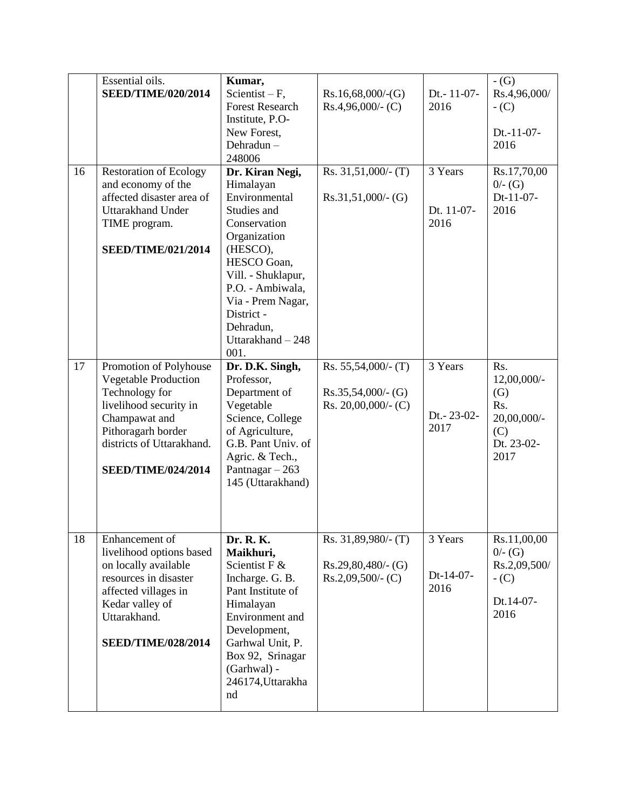|    | Essential oils.                                                                                                                                                                                    | Kumar,                                                                                                                                                                                                                                         |                                                                         |                               | $-G$                                                                         |
|----|----------------------------------------------------------------------------------------------------------------------------------------------------------------------------------------------------|------------------------------------------------------------------------------------------------------------------------------------------------------------------------------------------------------------------------------------------------|-------------------------------------------------------------------------|-------------------------------|------------------------------------------------------------------------------|
|    | <b>SEED/TIME/020/2014</b>                                                                                                                                                                          | Scientist $-F$ ,<br><b>Forest Research</b><br>Institute, P.O-<br>New Forest,<br>Dehradun-<br>248006                                                                                                                                            | Rs.16,68,000/(G)<br>$Rs.4,96,000/-(C)$                                  | Dt.-11-07-<br>2016            | Rs.4,96,000/<br>$-C$ )<br>Dt.-11-07-<br>2016                                 |
| 16 | <b>Restoration of Ecology</b><br>and economy of the<br>affected disaster area of<br><b>Uttarakhand Under</b><br>TIME program.<br><b>SEED/TIME/021/2014</b>                                         | Dr. Kiran Negi,<br>Himalayan<br>Environmental<br>Studies and<br>Conservation<br>Organization<br>(HESCO),<br>HESCO Goan,<br>Vill. - Shuklapur,<br>P.O. - Ambiwala,<br>Via - Prem Nagar,<br>District -<br>Dehradun,<br>Uttarakhand - 248<br>001. | Rs. $31,51,000/$ - (T)<br>$Rs.31,51,000/-(G)$                           | 3 Years<br>Dt. 11-07-<br>2016 | Rs.17,70,00<br>$0/- (G)$<br>Dt-11-07-<br>2016                                |
| 17 | Promotion of Polyhouse<br><b>Vegetable Production</b><br>Technology for<br>livelihood security in<br>Champawat and<br>Pithoragarh border<br>districts of Uttarakhand.<br><b>SEED/TIME/024/2014</b> | Dr. D.K. Singh,<br>Professor,<br>Department of<br>Vegetable<br>Science, College<br>of Agriculture,<br>G.B. Pant Univ. of<br>Agric. & Tech.,<br>Pantnagar $-263$<br>145 (Uttarakhand)                                                           | Rs. $55,54,000/$ - (T)<br>$Rs.35,54,000/-(G)$<br>Rs. $20,00,000/$ - (C) | 3 Years<br>Dt.-23-02-<br>2017 | Rs.<br>12,00,000/-<br>(G)<br>Rs.<br>20,00,000/-<br>(C)<br>Dt. 23-02-<br>2017 |
| 18 | Enhancement of<br>livelihood options based<br>on locally available<br>resources in disaster<br>affected villages in<br>Kedar valley of<br>Uttarakhand.<br><b>SEED/TIME/028/2014</b>                | Dr. R. K.<br>Maikhuri,<br>Scientist F &<br>Incharge. G. B.<br>Pant Institute of<br>Himalayan<br>Environment and<br>Development,<br>Garhwal Unit, P.<br>Box 92, Srinagar<br>(Garhwal) -<br>246174, Uttarakha<br>nd                              | Rs. 31,89,980/- (T)<br>$Rs.29,80,480/-(G)$<br>$Rs.2,09,500/$ - (C)      | 3 Years<br>Dt-14-07-<br>2016  | Rs.11,00,00<br>$0/- (G)$<br>Rs.2,09,500/<br>$-$ (C)<br>Dt.14-07-<br>2016     |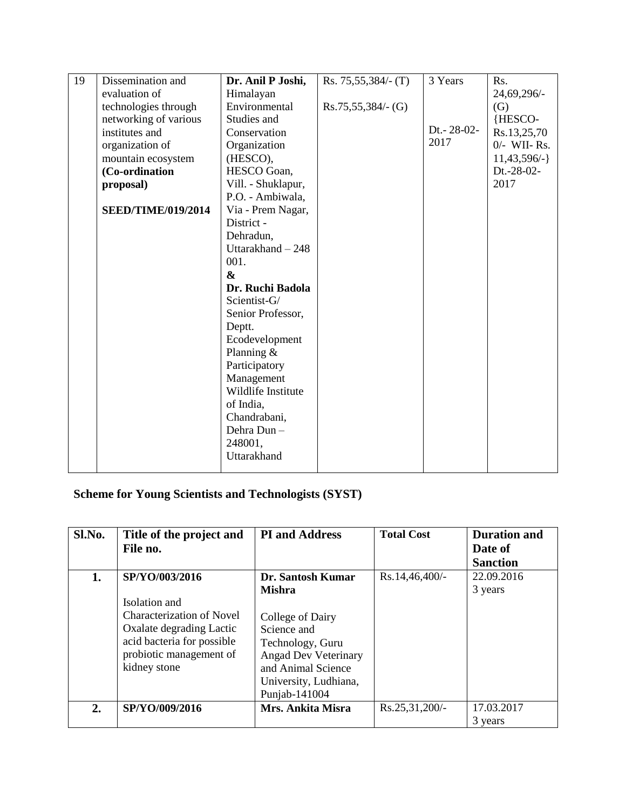| 19 | Dissemination and         | Dr. Anil P Joshi,  | $Rs. 75,55,384/- (T)$ | 3 Years    | Rs.            |
|----|---------------------------|--------------------|-----------------------|------------|----------------|
|    | evaluation of             | Himalayan          |                       |            | 24,69,296/-    |
|    | technologies through      | Environmental      | $Rs.75,55,384/- (G)$  |            | (G)            |
|    | networking of various     | Studies and        |                       |            | {HESCO-        |
|    | institutes and            | Conservation       |                       | Dt.-28-02- | Rs.13,25,70    |
|    | organization of           | Organization       |                       | 2017       | $0$ /- WII-Rs. |
|    | mountain ecosystem        | (HESCO),           |                       |            | $11,43,596/-$  |
|    | (Co-ordination            | HESCO Goan,        |                       |            | Dt.-28-02-     |
|    | proposal)                 | Vill. - Shuklapur, |                       |            | 2017           |
|    |                           | P.O. - Ambiwala,   |                       |            |                |
|    | <b>SEED/TIME/019/2014</b> | Via - Prem Nagar,  |                       |            |                |
|    |                           | District -         |                       |            |                |
|    |                           | Dehradun,          |                       |            |                |
|    |                           | Uttarakhand - 248  |                       |            |                |
|    |                           | 001.               |                       |            |                |
|    |                           | $\boldsymbol{\&}$  |                       |            |                |
|    |                           | Dr. Ruchi Badola   |                       |            |                |
|    |                           | Scientist-G/       |                       |            |                |
|    |                           | Senior Professor,  |                       |            |                |
|    |                           | Deptt.             |                       |            |                |
|    |                           | Ecodevelopment     |                       |            |                |
|    |                           | Planning $&$       |                       |            |                |
|    |                           | Participatory      |                       |            |                |
|    |                           | Management         |                       |            |                |
|    |                           | Wildlife Institute |                       |            |                |
|    |                           | of India,          |                       |            |                |
|    |                           | Chandrabani,       |                       |            |                |
|    |                           | Dehra Dun-         |                       |            |                |
|    |                           | 248001,            |                       |            |                |
|    |                           | Uttarakhand        |                       |            |                |
|    |                           |                    |                       |            |                |

## **Scheme for Young Scientists and Technologists (SYST)**

| Sl.No. | Title of the project and         | <b>PI</b> and Address       | <b>Total Cost</b> | <b>Duration and</b> |
|--------|----------------------------------|-----------------------------|-------------------|---------------------|
|        | File no.                         |                             |                   | Date of             |
|        |                                  |                             |                   | <b>Sanction</b>     |
| 1.     | SP/YO/003/2016                   | Dr. Santosh Kumar           | $Rs.14,46,400/-$  | 22.09.2016          |
|        |                                  | <b>Mishra</b>               |                   | 3 years             |
|        | Isolation and                    |                             |                   |                     |
|        | <b>Characterization of Novel</b> | College of Dairy            |                   |                     |
|        | Oxalate degrading Lactic         | Science and                 |                   |                     |
|        | acid bacteria for possible       | Technology, Guru            |                   |                     |
|        | probiotic management of          | <b>Angad Dev Veterinary</b> |                   |                     |
|        | kidney stone                     | and Animal Science          |                   |                     |
|        |                                  | University, Ludhiana,       |                   |                     |
|        |                                  | Punjab-141004               |                   |                     |
| 2.     | SP/YO/009/2016                   | Mrs. Ankita Misra           | Rs.25,31,200/-    | 17.03.2017          |
|        |                                  |                             |                   | 3 years             |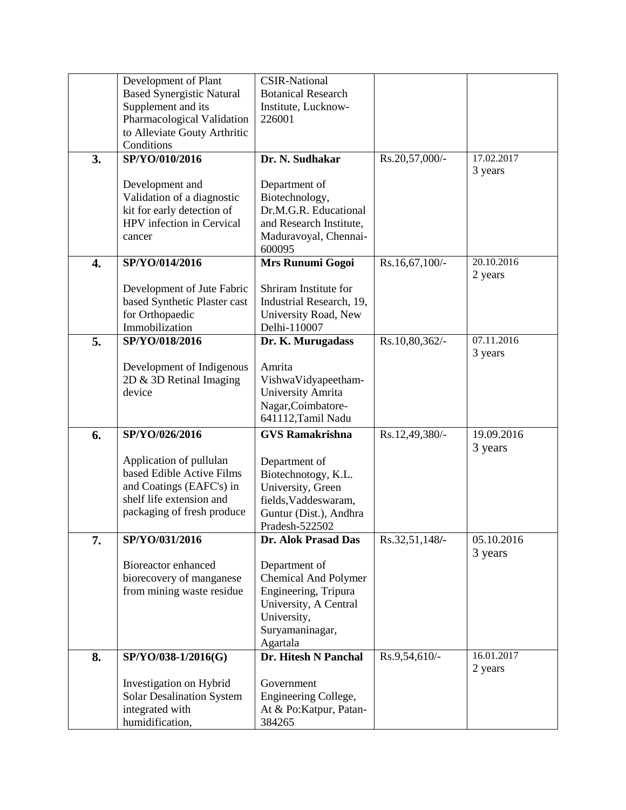|                  | Development of Plant               | <b>CSIR-National</b>                 |                |                       |
|------------------|------------------------------------|--------------------------------------|----------------|-----------------------|
|                  | <b>Based Synergistic Natural</b>   | <b>Botanical Research</b>            |                |                       |
|                  | Supplement and its                 | Institute, Lucknow-                  |                |                       |
|                  | Pharmacological Validation         | 226001                               |                |                       |
|                  | to Alleviate Gouty Arthritic       |                                      |                |                       |
|                  | Conditions                         |                                      |                |                       |
| 3.               | SP/YO/010/2016                     | Dr. N. Sudhakar                      | Rs.20,57,000/- | 17.02.2017<br>3 years |
|                  |                                    |                                      |                |                       |
|                  | Development and                    | Department of                        |                |                       |
|                  | Validation of a diagnostic         | Biotechnology,                       |                |                       |
|                  | kit for early detection of         | Dr.M.G.R. Educational                |                |                       |
|                  | HPV infection in Cervical          | and Research Institute,              |                |                       |
|                  | cancer                             | Maduravoyal, Chennai-                |                |                       |
|                  |                                    | 600095                               |                | 20.10.2016            |
| $\overline{4}$ . | SP/YO/014/2016                     | Mrs Runumi Gogoi                     | Rs.16,67,100/- | 2 years               |
|                  |                                    | Shriram Institute for                |                |                       |
|                  | Development of Jute Fabric         |                                      |                |                       |
|                  | based Synthetic Plaster cast       | Industrial Research, 19,             |                |                       |
|                  | for Orthopaedic<br>Immobilization  | University Road, New<br>Delhi-110007 |                |                       |
|                  |                                    |                                      |                | 07.11.2016            |
| 5.               | SP/YO/018/2016                     | Dr. K. Murugadass                    | Rs.10,80,362/- | 3 years               |
|                  |                                    | Amrita                               |                |                       |
|                  | Development of Indigenous          |                                      |                |                       |
|                  | 2D & 3D Retinal Imaging<br>device  | VishwaVidyapeetham-                  |                |                       |
|                  |                                    | University Amrita                    |                |                       |
|                  |                                    | Nagar, Coimbatore-                   |                |                       |
|                  |                                    |                                      |                |                       |
|                  |                                    | 641112, Tamil Nadu                   |                |                       |
| 6.               | SP/YO/026/2016                     | <b>GVS Ramakrishna</b>               | Rs.12,49,380/- | 19.09.2016            |
|                  |                                    |                                      |                | 3 years               |
|                  | Application of pullulan            | Department of                        |                |                       |
|                  | based Edible Active Films          | Biotechnotogy, K.L.                  |                |                       |
|                  | and Coatings (EAFC's) in           | University, Green                    |                |                       |
|                  | shelf life extension and           | fields, Vaddeswaram,                 |                |                       |
|                  | packaging of fresh produce         | Guntur (Dist.), Andhra               |                |                       |
|                  |                                    | Pradesh-522502                       |                |                       |
| 7.               | SP/YO/031/2016                     | Dr. Alok Prasad Das                  | Rs.32,51,148/- | 05.10.2016            |
|                  |                                    |                                      |                | 3 years               |
|                  | Bioreactor enhanced                | Department of                        |                |                       |
|                  | biorecovery of manganese           | <b>Chemical And Polymer</b>          |                |                       |
|                  | from mining waste residue          | Engineering, Tripura                 |                |                       |
|                  |                                    | University, A Central                |                |                       |
|                  |                                    | University,                          |                |                       |
|                  |                                    | Suryamaninagar,                      |                |                       |
|                  |                                    | Agartala                             |                |                       |
| 8.               | SP/YO/038-1/2016(G)                | Dr. Hitesh N Panchal                 | Rs.9,54,610/-  | 16.01.2017            |
|                  |                                    |                                      |                | 2 years               |
|                  | Investigation on Hybrid            | Government                           |                |                       |
|                  | <b>Solar Desalination System</b>   | Engineering College,                 |                |                       |
|                  | integrated with<br>humidification, | At & Po:Katpur, Patan-<br>384265     |                |                       |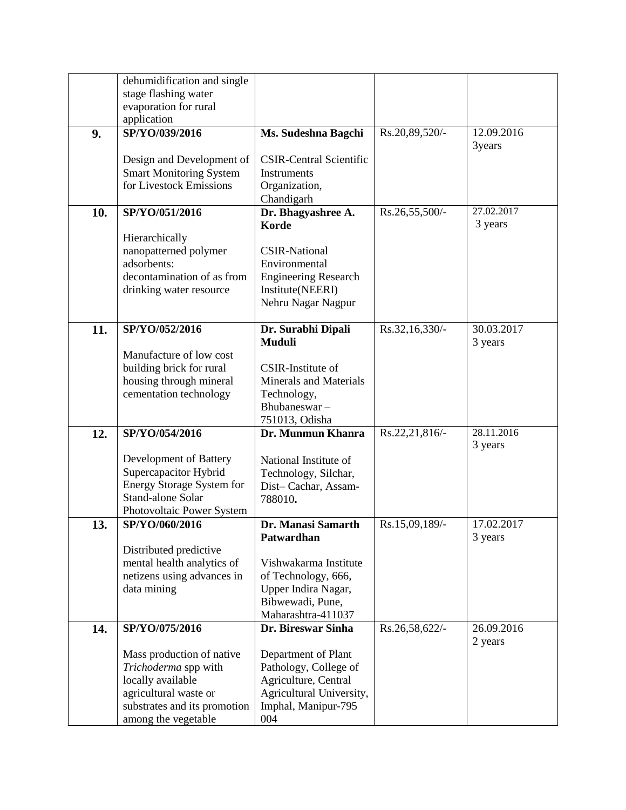|     | dehumidification and single      |                                |                |            |
|-----|----------------------------------|--------------------------------|----------------|------------|
|     | stage flashing water             |                                |                |            |
|     | evaporation for rural            |                                |                |            |
|     | application                      |                                |                |            |
| 9.  | SP/YO/039/2016                   | Ms. Sudeshna Bagchi            | Rs.20,89,520/- | 12.09.2016 |
|     |                                  |                                |                | 3years     |
|     | Design and Development of        | <b>CSIR-Central Scientific</b> |                |            |
|     | <b>Smart Monitoring System</b>   | Instruments                    |                |            |
|     | for Livestock Emissions          | Organization,                  |                |            |
|     |                                  | Chandigarh                     |                |            |
| 10. | SP/YO/051/2016                   | Dr. Bhagyashree A.             | Rs.26,55,500/- | 27.02.2017 |
|     |                                  | <b>Korde</b>                   |                | 3 years    |
|     | Hierarchically                   |                                |                |            |
|     | nanopatterned polymer            | <b>CSIR-National</b>           |                |            |
|     | adsorbents:                      | Environmental                  |                |            |
|     | decontamination of as from       | <b>Engineering Research</b>    |                |            |
|     | drinking water resource          | Institute(NEERI)               |                |            |
|     |                                  | Nehru Nagar Nagpur             |                |            |
|     |                                  |                                |                |            |
| 11. | SP/YO/052/2016                   | Dr. Surabhi Dipali             | Rs.32,16,330/- | 30.03.2017 |
|     |                                  | Muduli                         |                | 3 years    |
|     | Manufacture of low cost          | CSIR-Institute of              |                |            |
|     | building brick for rural         | <b>Minerals and Materials</b>  |                |            |
|     | housing through mineral          |                                |                |            |
|     | cementation technology           | Technology,<br>Bhubaneswar-    |                |            |
|     |                                  | 751013, Odisha                 |                |            |
| 12. | SP/YO/054/2016                   | Dr. Munmun Khanra              | Rs.22,21,816/- | 28.11.2016 |
|     |                                  |                                |                | 3 years    |
|     | Development of Battery           | National Institute of          |                |            |
|     | Supercapacitor Hybrid            | Technology, Silchar,           |                |            |
|     | <b>Energy Storage System for</b> | Dist-Cachar, Assam-            |                |            |
|     | Stand-alone Solar                | 788010.                        |                |            |
|     | Photovoltaic Power System        |                                |                |            |
| 13. | SP/YO/060/2016                   | Dr. Manasi Samarth             | Rs.15,09,189/- | 17.02.2017 |
|     |                                  | Patwardhan                     |                | 3 years    |
|     | Distributed predictive           |                                |                |            |
|     | mental health analytics of       | Vishwakarma Institute          |                |            |
|     | netizens using advances in       | of Technology, 666,            |                |            |
|     | data mining                      | Upper Indira Nagar,            |                |            |
|     |                                  | Bibwewadi, Pune,               |                |            |
|     |                                  | Maharashtra-411037             |                |            |
| 14. | SP/YO/075/2016                   | Dr. Bireswar Sinha             | Rs.26,58,622/- | 26.09.2016 |
|     |                                  |                                |                | 2 years    |
|     | Mass production of native        | Department of Plant            |                |            |
|     | Trichoderma spp with             | Pathology, College of          |                |            |
|     | locally available                | Agriculture, Central           |                |            |
|     | agricultural waste or            | Agricultural University,       |                |            |
|     | substrates and its promotion     | Imphal, Manipur-795            |                |            |
|     | among the vegetable              | 004                            |                |            |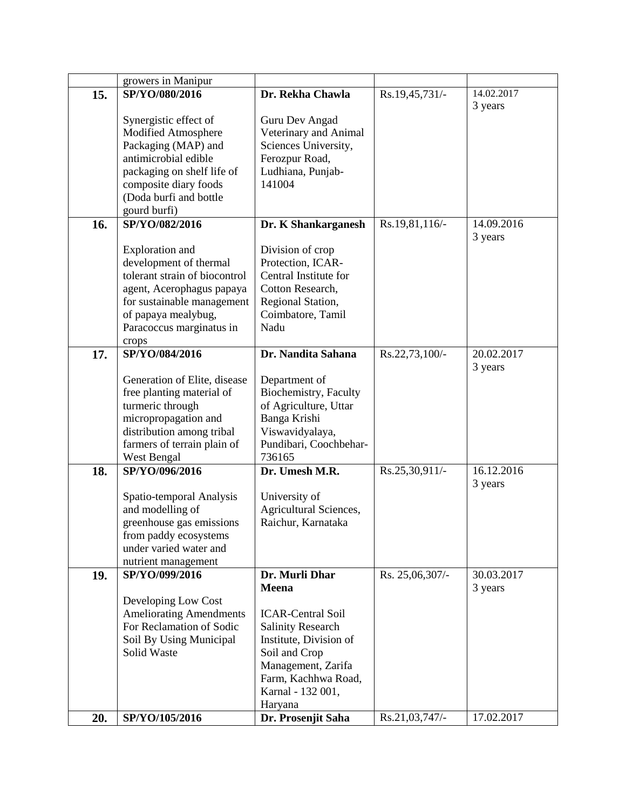|     | growers in Manipur             |                          |                 |            |
|-----|--------------------------------|--------------------------|-----------------|------------|
| 15. | SP/YO/080/2016                 | Dr. Rekha Chawla         | Rs.19,45,731/-  | 14.02.2017 |
|     |                                |                          |                 | 3 years    |
|     | Synergistic effect of          | Guru Dev Angad           |                 |            |
|     | Modified Atmosphere            | Veterinary and Animal    |                 |            |
|     | Packaging (MAP) and            | Sciences University,     |                 |            |
|     | antimicrobial edible           | Ferozpur Road,           |                 |            |
|     | packaging on shelf life of     | Ludhiana, Punjab-        |                 |            |
|     |                                |                          |                 |            |
|     | composite diary foods          | 141004                   |                 |            |
|     | (Doda burfi and bottle         |                          |                 |            |
|     | gourd burfi)                   |                          |                 |            |
| 16. | SP/YO/082/2016                 | Dr. K Shankarganesh      | Rs.19,81,116/-  | 14.09.2016 |
|     |                                |                          |                 | 3 years    |
|     | <b>Exploration</b> and         | Division of crop         |                 |            |
|     | development of thermal         | Protection, ICAR-        |                 |            |
|     | tolerant strain of biocontrol  | Central Institute for    |                 |            |
|     | agent, Acerophagus papaya      | Cotton Research,         |                 |            |
|     | for sustainable management     | Regional Station,        |                 |            |
|     | of papaya mealybug,            | Coimbatore, Tamil        |                 |            |
|     | Paracoccus marginatus in       | Nadu                     |                 |            |
|     | crops                          |                          |                 |            |
| 17. | SP/YO/084/2016                 | Dr. Nandita Sahana       | Rs.22,73,100/-  | 20.02.2017 |
|     |                                |                          |                 | 3 years    |
|     | Generation of Elite, disease   | Department of            |                 |            |
|     | free planting material of      | Biochemistry, Faculty    |                 |            |
|     | turmeric through               | of Agriculture, Uttar    |                 |            |
|     | micropropagation and           | Banga Krishi             |                 |            |
|     | distribution among tribal      | Viswavidyalaya,          |                 |            |
|     | farmers of terrain plain of    | Pundibari, Coochbehar-   |                 |            |
|     | West Bengal                    | 736165                   |                 |            |
| 18. | SP/YO/096/2016                 | Dr. Umesh M.R.           | Rs.25,30,911/-  | 16.12.2016 |
|     |                                |                          |                 | 3 years    |
|     | Spatio-temporal Analysis       | University of            |                 |            |
|     | and modelling of               | Agricultural Sciences,   |                 |            |
|     | greenhouse gas emissions       | Raichur, Karnataka       |                 |            |
|     | from paddy ecosystems          |                          |                 |            |
|     | under varied water and         |                          |                 |            |
|     | nutrient management            |                          |                 |            |
| 19. | SP/YO/099/2016                 | Dr. Murli Dhar           | Rs. 25,06,307/- | 30.03.2017 |
|     |                                | <b>Meena</b>             |                 | 3 years    |
|     | Developing Low Cost            |                          |                 |            |
|     | <b>Ameliorating Amendments</b> | <b>ICAR-Central Soil</b> |                 |            |
|     | For Reclamation of Sodic       | <b>Salinity Research</b> |                 |            |
|     | Soil By Using Municipal        | Institute, Division of   |                 |            |
|     | Solid Waste                    | Soil and Crop            |                 |            |
|     |                                | Management, Zarifa       |                 |            |
|     |                                |                          |                 |            |
|     |                                | Farm, Kachhwa Road,      |                 |            |
|     |                                | Karnal - 132 001,        |                 |            |
|     |                                | Haryana                  |                 |            |
| 20. | SP/YO/105/2016                 | Dr. Prosenjit Saha       | Rs.21,03,747/-  | 17.02.2017 |